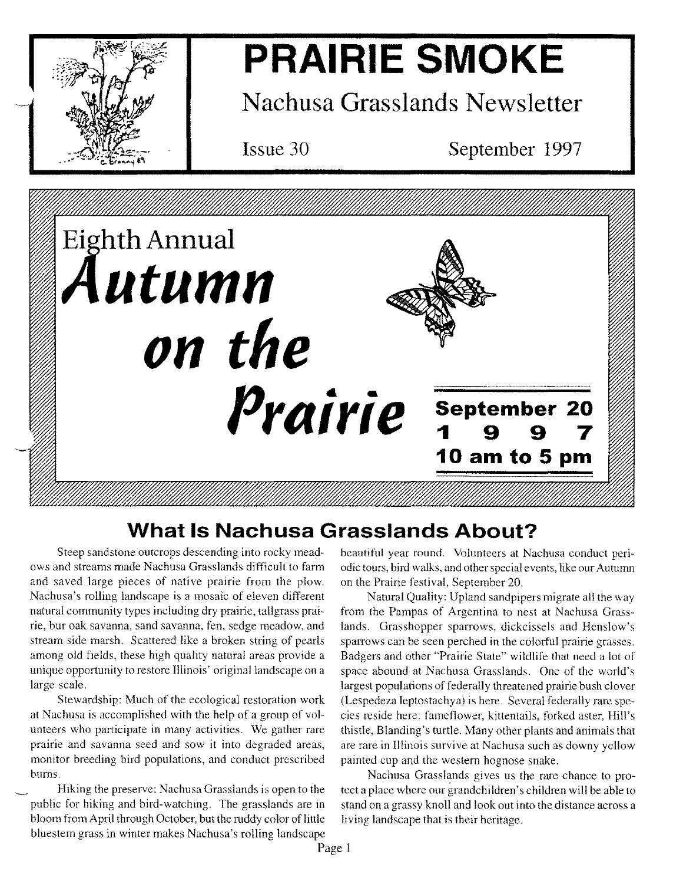

# **PRAIRIE SMOKE**

**Nachusa Grasslands Newsletter**

Issue 30

September 1997



## **What Is Nachusa Grasslands About?**

Steep sandstone outcrops descending into rocky meadows and streams made Nachusa Grasslands difficult to farm and saved large pieces of native prairie from the plow. Nachusa's rolling landscape is a mosaic of eleven different natural community types including dry prairie, tallgrass prairie, bur oak savanna, sand savanna, fen, sedge meadow, and stream side marsh. Scattered like a broken string of pearls among old fields, these high quality natural areas provide a unique opportunity to restore Illinois' original landscape on a large scale.

Stewardship: Much of the ecological restoration work at Nachusa is accomplished with the help of a group of volunteers who participate in many activities. We gather rare prairie and savanna seed and sow it into degraded areas, monitor breeding bird populations, and conduct prescribed bums.

Hiking the preserve: Nachusa Grasslands is open to the public for hiking and bird-watching. The grasslands are in bloom from April through October, but the ruddy color of little bluestem grass in winter makes Nachusa's rolling landscape beautiful year round. Volunteers at Nachusa conduct periodic tours, bird walks, and other special events, like our Autumn on the Prairie festival, September 20.

Natural Quality: Upland sandpipers migrate all the way from the Pampas of Argentina to nest at Nachusa Grasslands. Grasshopper sparrows, dickcissels and Henslow's sparrows can be seen perched in the colorful prairie grasses. Badgers and other "Prairie State" wildlife that need a lot of space abound at Nachusa Grasslands. One of the world's largest populations of federally threatened prairie bush clover (Lespedeza leptostachya) is here. Several federally rare species reside here: fameflower, kittentails, forked aster, Hill's thistle, Blanding's turtle. Many other plants and animals that are rare in Illinois survive at Nachusa such as downy yellow painted cup and the western hognose snake.

Nachusa Grasslands gives us the rare chance to protect a place where our grandchildren's children will be able to stand on a grassy knoll and look out into the distance across a living landscape that is their heritage.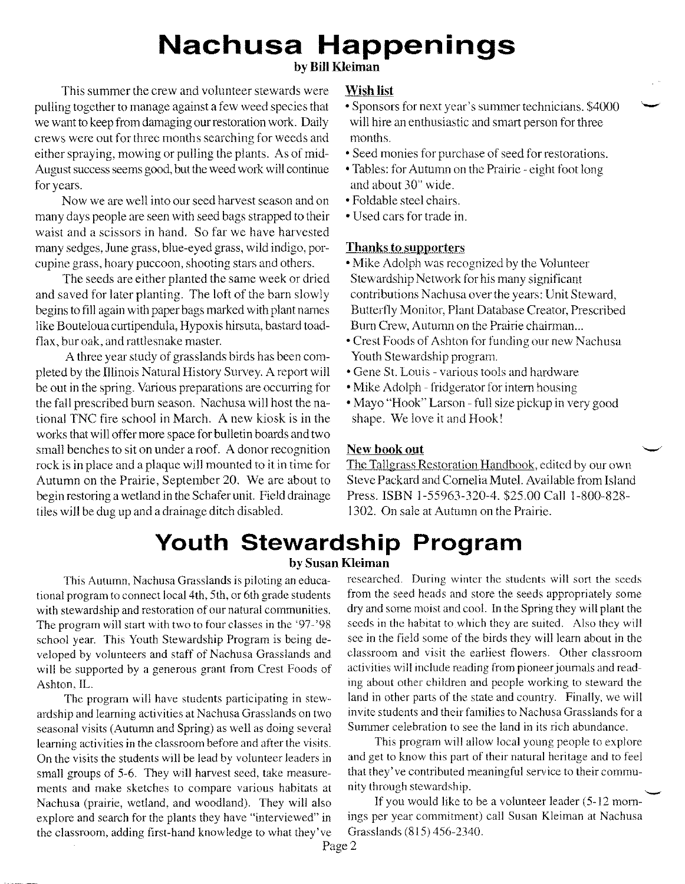## **Nachusa Happenings**

## **by Bill Kleiman**

This summer the crew and volunteer stewards were **Wish list** pulling together to manage against a few weed species that we want to keep from damaging our restoration work. Daily crews were out for three months searching for weeds and either spraying, mowing or pulling the plants. As of mid-August success seems good, but the weed work will continue for years.

Now we are well into our seed harvest season and on many days people are seen with seed bags strapped to their waist and a scissors in hand. So far we have harvested many sedges, June grass, blue-eyed grass, wild indigo, porcupine grass, hoary puccoon, shooting stars and others.

The seeds are either planted the same week or dried and saved for later planting. The loft of the barn slowly begins to fill again with paper bags marked with plant names like Bouteloua curtipendula, Hypoxis hirsuta, bastard toadflax, bur oak, and rattlesnake master.

A three year study of grasslands birds has been completed by the Illinois Natural History Survey. A report will be out in the spring. Various preparations are occurring for the fall prescribed bum season. Nachusa will host the national TNC fire school in March. A new kiosk is in the works that will offer more space for bulletin boards and two small benches to sit on under a roof. A donor recognition rock is in place and a plaque will mounted to it in time for Autumn on the Prairie, September 20. We are about to begin restoring a wetland in the Schafer unit. Field drainage tiles will be dug up and a drainage ditch disabled.

- Sponsors for next year's summer technicians. \$4000 will hire an enthusiastic and smart person for three months.
- Seed monies for purchase of seed for restorations.
- Tables: for Autumn on the Prairie eight foot long and about 30" wide.
- Foldable steel chairs.
- Used cars for trade in.

## **Thanks to supporters**

- Mike Adolph was recognized by the Volunteer Stewardship Network for his many significant contributions Nachusa over the years: Unit Steward, Butterfly Monitor, Plant Database Creator, Prescribed Burn Crew, Autumn on the Prairie chairman...
- Crest Foods of Ashton for funding our new Nachusa Youth Stewardship program.
- Gene St. Louis various tools and hardware
- Mike Adolph fridgerator for intern housing
- Mayo "Hook" Larson full size pickup in very good shape. We love it and Hook!

## New book out

The Tallgrass Restoration Handbook, edited by our own Steve Packard and Cornelia MuteI. Available from Island Press. ISBN 1-55963-320-4. \$25.00 Call 1-800-828- 1302. On sale at Autumn on the Prairie.

## **Youth Stewardship Program**

## **by Susan Kleiman**

tional program to connect local 4th, 5th, or 6th grade students from the seed heads and store the seeds appropriately some The program will start with two to four classes in the '97-'98 seeds in the habitat to which they are suited. Also they will

seasonal visits (Autumn and Spring) as well as doing several Summer celebration to see the land in its rich abundance. learning activities in the classroom before and after the visits. This program will allow local young people to explore small groups of 5-6. They will harvest seed, take measure- that they've contributed meaningful service to their commuments and make sketches to compare various habitats at nity through stewardship. Nachusa (prairie, wetland, and woodland). They will also If you would like to be a volunteer leader (5-12 mornthe classroom, adding first-hand knowledge to what they've Grasslands (815) 456-2340.

This Autumn, Nachusa Grasslands is piloting an educa- researched. During winter the students will sort the seeds with stewardship and restoration of our natural communities. dry and some moist and cool. In the Spring they will plant the school year. This Youth Stewardship Program is being de- see in the field some of the birds they will learn about in the veloped by volunteers and staff of Nachusa Grasslands and classroom and visit the earliest flowers. Other classroom will be supported by a generous grant from Crest Foods of activities will include reading from pioneer journals and read-Ashton, IL. ing about other children and people working to steward the The program will have students participating in stew- land in other parts of the state and country. Finally, we will ardship and learning activities at Nachusa Grasslands on two invite students and their families to Nachusa Grasslands for a

On the visits the students will be lead by volunteer leaders in and get to know this part of their natural heritage and to feel

explore and search for the plants they have "interviewed" in ings per year commitment) call Susan Kleiman at Nachusa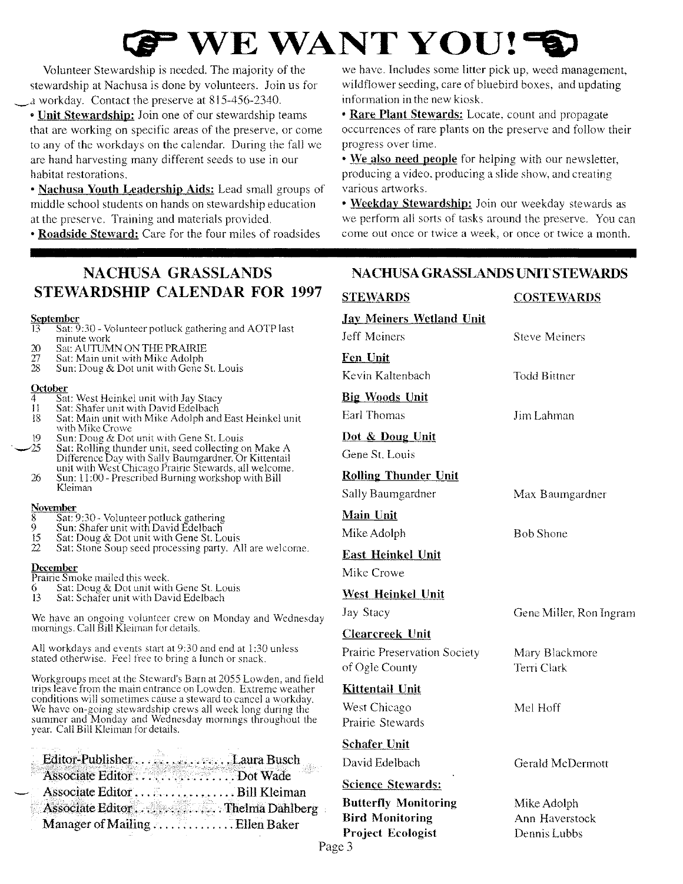# *QJ •* WE WANT **YOU! ~**

Volunteer Stewardship is needed. The majority of the stewardship at Nachusa is done by volunteers. Join us for \_.1 workday. Contact the preserve at 815-456-2340.

• Unit Stewardship: Join one of our stewardship teams that are working on specific areas of the preserve, or come to any of the workdays on the calendar. During the fall we are hand harvesting many different seeds to use in our habitat restorations.

• Nachusa Youth Leadership Aids: Lead small groups of middle school students on hands on stewardship education at the preserve. Training and materials provided.

• Roadside Steward: Care for the four miles of roadsides

we have. Includes some litter pick up, weed management, wildflower seeding, care of bluebird boxes, and updating information in the new kiosk.

• Rare Plant Stewards: Locate, count and propagate occurrences of rare plants on the preserve and follow their progress over time.

• We also need people for helping with our newsletter, producing a video, producing a slide show, and creating various artworks.

• Weekday Stewardship: Join our weekday stewards as we perform all sorts of tasks around the preserve. You can come out once or twice a week, or once or twice a month.

## NACHUSA GRASSLANDS STEWARDSHIP CALENDAR FOR 1997

### <u>Septembe</u>

- 13 Sat: 9:30 Volunteer potluck gathering and AOTP last minute work
- 20 Sat: AUTUMN ON THE PRAIRIE<br>27 Sat: Main unit with Mike Adolph
- 27 Sat: Main unit with Mike Adolph
- 28 Sun: Doug & Dot unit with Gene St. Louis

#### **October**

- 4 Sat: West Heinkel unit with Jay Stacy<br>11 Sat: Shafer unit with David Edelbach
- 11 Sat: Shafer unit with David Edelbach<br>18 Sat: Main unit with Mike Adolph and
- Sat: Main unit with Mike Adolph and East Heinkel unit with Mike Crowe
- 19 Sun: Doug  $&$  Dot unit with Gene St. Louis  $\sim$  25 Sat: Rolling thunder unit, seed collecting on Make A Difference Day with Sally Baumgardner. Or Kittentail
	- unit with West Chicago Prairie Stewards, all welcome.  $26$  Sun: 11:00 - Prescribed Burning workshop with Bill Kleiman

#### **November**

- $\begin{array}{c} 8 \quad \text{Sat: } 9:30 \text{ } \text{Volume} \ 9 \quad \text{Sun: Shafer unit with David Edelbach} \end{array}$
- 9 Sun: Shafer unit with David Edelbach<br>15 Sat: Doug & Dot unit with Gene St. Lo
- 15 Sat: Doug & Dot unit with Gene St. Louis<br>22 Sat: Stone Soup seed processing party. A Sat: Stone Soup seed processing party. All are welcome.

## **December**

- Prairie Smoke mailed this week.
- 6 Sat: Doug & Dot unit with Gene St. Louis
- 13 Sat: Schafer unit with David Edelbach

We have an ongoing volunteer crew on Monday and Wednesday mornings. Call Bill Kleiman for details.

All workdays and events start at 9:30 and end at 1:30 unless stated otherwise. Feel free to bring a lunch or snack.

Workgroups meet at the Steward's Barn at 2055 Lowden, and field trips leave from the main entrance on Lowden. Extreme weather conditions will sometimes cause a steward to cancel a workday. We have on-going stewardship crews all week long during the summer and Monday and Wednesday mornings throughout the year. Call Bill Kleiman for details.

|  |                  | Associate Editor Dot Wade         |  |
|--|------------------|-----------------------------------|--|
|  | Associate Editor | . Bill Kleiman                    |  |
|  |                  | Associate Editor  Thelma Dahlberg |  |
|  |                  | Manager of Mailing  Ellen Baker   |  |
|  |                  |                                   |  |

## NACHUSA GRASSLANDS UNIT STEWARDS

## STEWARDS COSTEWARDS Jay Meiners Wetland Unit Jeff Meiners Fen Unit Kevin Kaltenbach Steve Meiners Todd Bittner Big Woods Unit Earl Thomas Jim Lahman Dot & Doug Unit Gene St. Louis Rolling Thunder Unit Sally Baumgardner Main Unit Mike Adolph East Heinkel Unit Mike Crowe Max Baumgardner Bob Shone West Heinkel Unit Jay Stacy Clearcreek Unit Prairie Preservation Society of Ogle County Kittentail Unit West Chicago Prairie Stewards Gene Miller, Ron Ingram Mary Blackmore Terri Clark Mel Hoff Schafer Unit David Edelbach Gerald McDermott Science Stewards: Butterfly Monitoring Bird Monitoring Project Ecologist Mike Adolph Ann Haverstock Dennis Lubbs